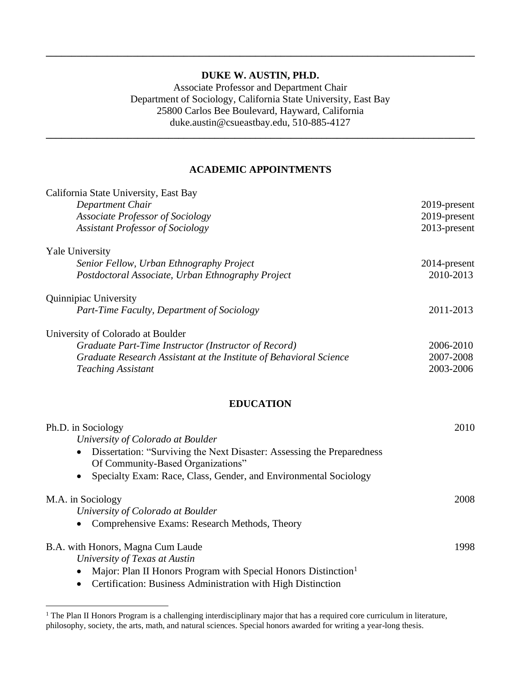### **DUKE W. AUSTIN, PH.D.**

**\_\_\_\_\_\_\_\_\_\_\_\_\_\_\_\_\_\_\_\_\_\_\_\_\_\_\_\_\_\_\_\_\_\_\_\_\_\_\_\_\_\_\_\_\_\_\_\_\_\_\_\_\_\_\_\_\_\_\_\_\_\_\_\_\_\_\_\_\_\_\_\_\_\_\_\_\_\_\_\_\_\_\_\_**

Associate Professor and Department Chair Department of Sociology, California State University, East Bay 25800 Carlos Bee Boulevard, Hayward, California duke.austin@csueastbay.edu, 510-885-4127

#### **ACADEMIC APPOINTMENTS**

**\_\_\_\_\_\_\_\_\_\_\_\_\_\_\_\_\_\_\_\_\_\_\_\_\_\_\_\_\_\_\_\_\_\_\_\_\_\_\_\_\_\_\_\_\_\_\_\_\_\_\_\_\_\_\_\_\_\_\_\_\_\_\_\_\_\_\_\_\_\_\_\_\_\_\_\_\_\_\_\_\_\_\_\_**

| California State University, East Bay                                                                       |              |
|-------------------------------------------------------------------------------------------------------------|--------------|
| Department Chair                                                                                            | 2019-present |
| <b>Associate Professor of Sociology</b>                                                                     | 2019-present |
| <b>Assistant Professor of Sociology</b>                                                                     | 2013-present |
| Yale University                                                                                             |              |
| Senior Fellow, Urban Ethnography Project                                                                    | 2014-present |
| Postdoctoral Associate, Urban Ethnography Project                                                           | 2010-2013    |
| Quinnipiac University                                                                                       |              |
| Part-Time Faculty, Department of Sociology                                                                  | 2011-2013    |
| University of Colorado at Boulder                                                                           |              |
| Graduate Part-Time Instructor (Instructor of Record)                                                        | 2006-2010    |
| Graduate Research Assistant at the Institute of Behavioral Science                                          | 2007-2008    |
| <b>Teaching Assistant</b>                                                                                   | 2003-2006    |
| <b>EDUCATION</b>                                                                                            |              |
| Ph.D. in Sociology                                                                                          | 2010         |
| University of Colorado at Boulder                                                                           |              |
| Dissertation: "Surviving the Next Disaster: Assessing the Preparedness<br>Of Community-Based Organizations" |              |
| Specialty Exam: Race, Class, Gender, and Environmental Sociology                                            |              |
| M.A. in Sociology                                                                                           | 2008         |
| University of Colorado at Boulder                                                                           |              |
| Comprehensive Exams: Research Methods, Theory<br>$\bullet$                                                  |              |
| B.A. with Honors, Magna Cum Laude                                                                           | 1998         |
| University of Texas at Austin                                                                               |              |
| Major: Plan II Honors Program with Special Honors Distinction <sup>1</sup>                                  |              |
| Certification: Business Administration with High Distinction                                                |              |

<sup>&</sup>lt;sup>1</sup> The Plan II Honors Program is a challenging interdisciplinary major that has a required core curriculum in literature, philosophy, society, the arts, math, and natural sciences. Special honors awarded for writing a year-long thesis.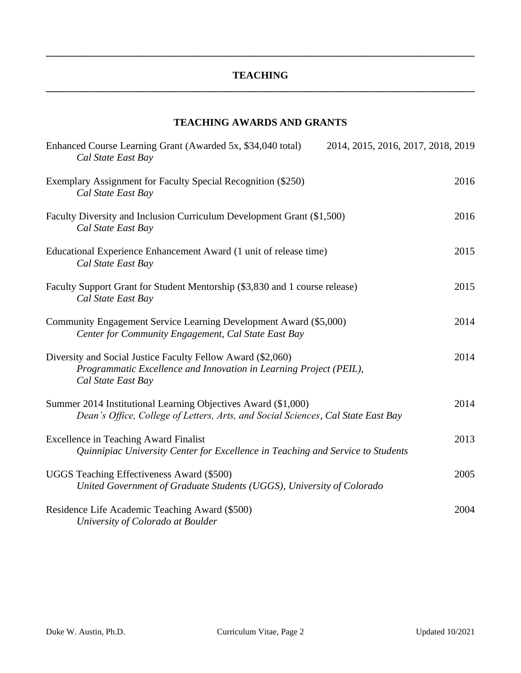### **TEACHING \_\_\_\_\_\_\_\_\_\_\_\_\_\_\_\_\_\_\_\_\_\_\_\_\_\_\_\_\_\_\_\_\_\_\_\_\_\_\_\_\_\_\_\_\_\_\_\_\_\_\_\_\_\_\_\_\_\_\_\_\_\_\_\_\_\_\_\_\_\_\_\_\_\_\_\_\_\_\_\_\_\_\_\_**

**\_\_\_\_\_\_\_\_\_\_\_\_\_\_\_\_\_\_\_\_\_\_\_\_\_\_\_\_\_\_\_\_\_\_\_\_\_\_\_\_\_\_\_\_\_\_\_\_\_\_\_\_\_\_\_\_\_\_\_\_\_\_\_\_\_\_\_\_\_\_\_\_\_\_\_\_\_\_\_\_\_\_\_\_**

### **TEACHING AWARDS AND GRANTS**

| Enhanced Course Learning Grant (Awarded 5x, \$34,040 total)<br>Cal State East Bay                                                                       | 2014, 2015, 2016, 2017, 2018, 2019 |
|---------------------------------------------------------------------------------------------------------------------------------------------------------|------------------------------------|
| Exemplary Assignment for Faculty Special Recognition (\$250)<br>Cal State East Bay                                                                      | 2016                               |
| Faculty Diversity and Inclusion Curriculum Development Grant (\$1,500)<br>Cal State East Bay                                                            | 2016                               |
| Educational Experience Enhancement Award (1 unit of release time)<br>Cal State East Bay                                                                 | 2015                               |
| Faculty Support Grant for Student Mentorship (\$3,830 and 1 course release)<br>Cal State East Bay                                                       | 2015                               |
| Community Engagement Service Learning Development Award (\$5,000)<br>Center for Community Engagement, Cal State East Bay                                | 2014                               |
| Diversity and Social Justice Faculty Fellow Award (\$2,060)<br>Programmatic Excellence and Innovation in Learning Project (PEIL),<br>Cal State East Bay | 2014                               |
| Summer 2014 Institutional Learning Objectives Award (\$1,000)<br>Dean's Office, College of Letters, Arts, and Social Sciences, Cal State East Bay       | 2014                               |
| <b>Excellence in Teaching Award Finalist</b><br>Quinnipiac University Center for Excellence in Teaching and Service to Students                         | 2013                               |
| UGGS Teaching Effectiveness Award (\$500)<br>United Government of Graduate Students (UGGS), University of Colorado                                      | 2005                               |
| Residence Life Academic Teaching Award (\$500)<br>University of Colorado at Boulder                                                                     | 2004                               |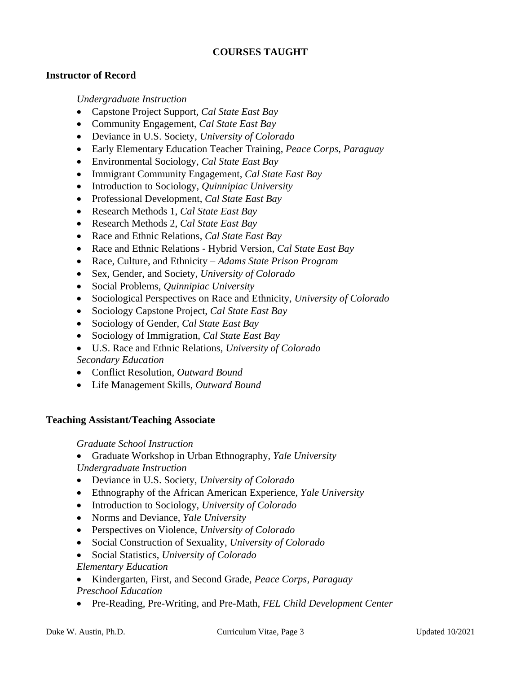## **COURSES TAUGHT**

### **Instructor of Record**

*Undergraduate Instruction*

- Capstone Project Support, *Cal State East Bay*
- Community Engagement, *Cal State East Bay*
- Deviance in U.S. Society, *University of Colorado*
- Early Elementary Education Teacher Training, *Peace Corps, Paraguay*
- Environmental Sociology, *Cal State East Bay*
- Immigrant Community Engagement, *Cal State East Bay*
- Introduction to Sociology, *Quinnipiac University*
- Professional Development, *Cal State East Bay*
- Research Methods 1, *Cal State East Bay*
- Research Methods 2, *Cal State East Bay*
- Race and Ethnic Relations, *Cal State East Bay*
- Race and Ethnic Relations Hybrid Version, *Cal State East Bay*
- Race, Culture, and Ethnicity *Adams State Prison Program*
- Sex, Gender, and Society, *University of Colorado*
- Social Problems, *Quinnipiac University*
- Sociological Perspectives on Race and Ethnicity, *University of Colorado*
- Sociology Capstone Project, *Cal State East Bay*
- Sociology of Gender, *Cal State East Bay*
- Sociology of Immigration, *Cal State East Bay*
- U.S. Race and Ethnic Relations, *University of Colorado*

*Secondary Education*

- Conflict Resolution, *Outward Bound*
- Life Management Skills, *Outward Bound*

### **Teaching Assistant/Teaching Associate**

### *Graduate School Instruction*

- Graduate Workshop in Urban Ethnography, *Yale University Undergraduate Instruction*
- Deviance in U.S. Society, *University of Colorado*
- Ethnography of the African American Experience, *Yale University*
- Introduction to Sociology, *University of Colorado*
- Norms and Deviance, *Yale University*
- Perspectives on Violence, *University of Colorado*
- Social Construction of Sexuality, *University of Colorado*
- Social Statistics, *University of Colorado*

### *Elementary Education*

- Kindergarten, First, and Second Grade*, Peace Corps, Paraguay Preschool Education*
- Pre-Reading, Pre-Writing, and Pre-Math, *FEL Child Development Center*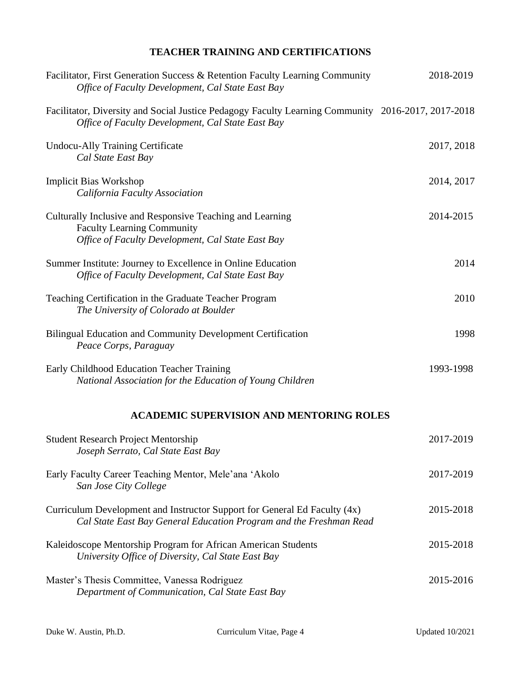# **TEACHER TRAINING AND CERTIFICATIONS**

| Facilitator, First Generation Success & Retention Faculty Learning Community<br>Office of Faculty Development, Cal State East Bay                       | 2018-2019  |
|---------------------------------------------------------------------------------------------------------------------------------------------------------|------------|
| Facilitator, Diversity and Social Justice Pedagogy Faculty Learning Community 2016-2017, 2017-2018<br>Office of Faculty Development, Cal State East Bay |            |
| <b>Undocu-Ally Training Certificate</b><br>Cal State East Bay                                                                                           | 2017, 2018 |
| <b>Implicit Bias Workshop</b><br>California Faculty Association                                                                                         | 2014, 2017 |
| Culturally Inclusive and Responsive Teaching and Learning<br><b>Faculty Learning Community</b><br>Office of Faculty Development, Cal State East Bay     | 2014-2015  |
| Summer Institute: Journey to Excellence in Online Education<br>Office of Faculty Development, Cal State East Bay                                        | 2014       |
| Teaching Certification in the Graduate Teacher Program<br>The University of Colorado at Boulder                                                         | 2010       |
| Bilingual Education and Community Development Certification<br>Peace Corps, Paraguay                                                                    | 1998       |
| Early Childhood Education Teacher Training<br>National Association for the Education of Young Children                                                  | 1993-1998  |
| <b>ACADEMIC SUPERVISION AND MENTORING ROLES</b>                                                                                                         |            |
| <b>Student Research Project Mentorship</b><br>Joseph Serrato, Cal State East Bay                                                                        | 2017-2019  |
| Early Faculty Career Teaching Mentor, Mele'ana 'Akolo<br>San Jose City College                                                                          | 2017-2019  |
| Curriculum Development and Instructor Support for General Ed Faculty (4x)<br>Cal State East Bay General Education Program and the Freshman Read         | 2015-2018  |
| Kaleidoscope Mentorship Program for African American Students<br>University Office of Diversity, Cal State East Bay                                     | 2015-2018  |
| Master's Thesis Committee, Vanessa Rodriguez<br>Department of Communication, Cal State East Bay                                                         | 2015-2016  |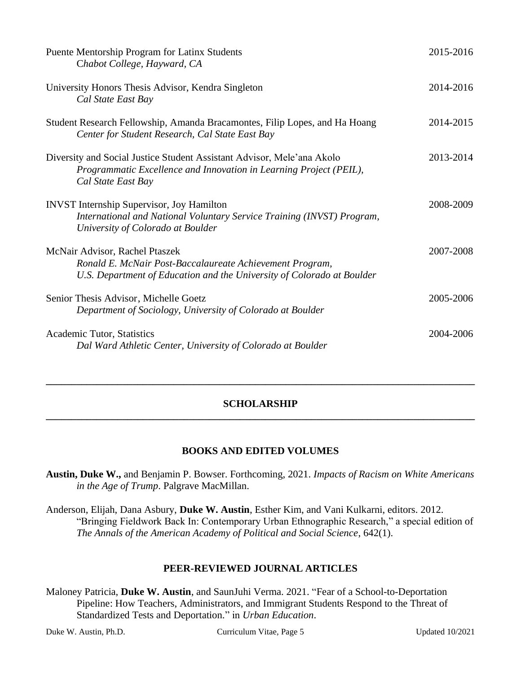| Puente Mentorship Program for Latinx Students<br>Chabot College, Hayward, CA                                                                                         | 2015-2016 |
|----------------------------------------------------------------------------------------------------------------------------------------------------------------------|-----------|
| University Honors Thesis Advisor, Kendra Singleton<br>Cal State East Bay                                                                                             | 2014-2016 |
| Student Research Fellowship, Amanda Bracamontes, Filip Lopes, and Ha Hoang<br>Center for Student Research, Cal State East Bay                                        | 2014-2015 |
| Diversity and Social Justice Student Assistant Advisor, Mele'ana Akolo<br>Programmatic Excellence and Innovation in Learning Project (PEIL),<br>Cal State East Bay   | 2013-2014 |
| <b>INVST</b> Internship Supervisor, Joy Hamilton<br>International and National Voluntary Service Training (INVST) Program,<br>University of Colorado at Boulder      | 2008-2009 |
| McNair Advisor, Rachel Ptaszek<br>Ronald E. McNair Post-Baccalaureate Achievement Program,<br>U.S. Department of Education and the University of Colorado at Boulder | 2007-2008 |
| Senior Thesis Advisor, Michelle Goetz<br>Department of Sociology, University of Colorado at Boulder                                                                  | 2005-2006 |
| Academic Tutor, Statistics<br>Dal Ward Athletic Center, University of Colorado at Boulder                                                                            | 2004-2006 |

### **SCHOLARSHIP \_\_\_\_\_\_\_\_\_\_\_\_\_\_\_\_\_\_\_\_\_\_\_\_\_\_\_\_\_\_\_\_\_\_\_\_\_\_\_\_\_\_\_\_\_\_\_\_\_\_\_\_\_\_\_\_\_\_\_\_\_\_\_\_\_\_\_\_\_\_\_\_\_\_\_\_\_\_\_\_\_\_\_\_**

**\_\_\_\_\_\_\_\_\_\_\_\_\_\_\_\_\_\_\_\_\_\_\_\_\_\_\_\_\_\_\_\_\_\_\_\_\_\_\_\_\_\_\_\_\_\_\_\_\_\_\_\_\_\_\_\_\_\_\_\_\_\_\_\_\_\_\_\_\_\_\_\_\_\_\_\_\_\_\_\_\_\_\_\_**

## **BOOKS AND EDITED VOLUMES**

**Austin, Duke W.,** and Benjamin P. Bowser. Forthcoming, 2021. *Impacts of Racism on White Americans in the Age of Trump*. Palgrave MacMillan.

Anderson, Elijah, Dana Asbury, **Duke W. Austin**, Esther Kim, and Vani Kulkarni, editors. 2012. "Bringing Fieldwork Back In: Contemporary Urban Ethnographic Research," a special edition of *The Annals of the American Academy of Political and Social Science*, 642(1).

### **PEER-REVIEWED JOURNAL ARTICLES**

Maloney Patricia, **Duke W. Austin**, and SaunJuhi Verma. 2021. "Fear of a School-to-Deportation Pipeline: How Teachers, Administrators, and Immigrant Students Respond to the Threat of Standardized Tests and Deportation." in *Urban Education*.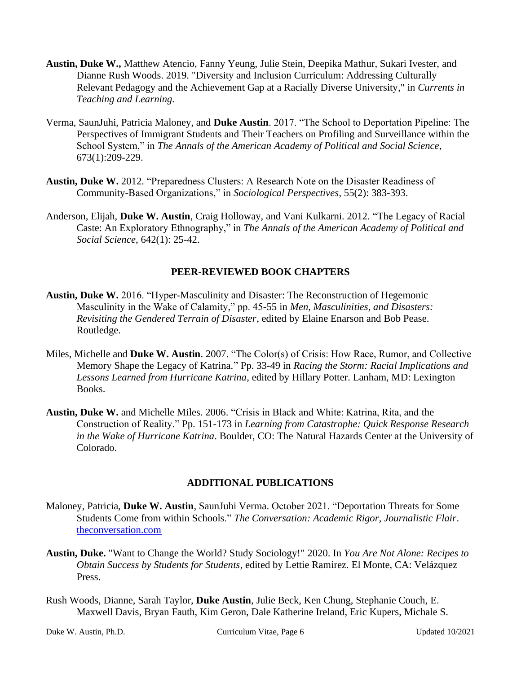- **Austin, Duke W.,** Matthew Atencio, Fanny Yeung, Julie Stein, Deepika Mathur, Sukari Ivester, and Dianne Rush Woods. 2019. "Diversity and Inclusion Curriculum: Addressing Culturally Relevant Pedagogy and the Achievement Gap at a Racially Diverse University," in *Currents in Teaching and Learning.*
- Verma, SaunJuhi, Patricia Maloney, and **Duke Austin**. 2017. "The School to Deportation Pipeline: The Perspectives of Immigrant Students and Their Teachers on Profiling and Surveillance within the School System," in *The Annals of the American Academy of Political and Social Science*, 673(1):209-229.
- **Austin, Duke W.** 2012. "Preparedness Clusters: A Research Note on the Disaster Readiness of Community-Based Organizations," in *Sociological Perspectives*, 55(2): 383-393.
- Anderson, Elijah, **Duke W. Austin**, Craig Holloway, and Vani Kulkarni. 2012. "The Legacy of Racial Caste: An Exploratory Ethnography," in *The Annals of the American Academy of Political and Social Science*, 642(1): 25-42.

### **PEER-REVIEWED BOOK CHAPTERS**

- **Austin, Duke W.** 2016. "Hyper-Masculinity and Disaster: The Reconstruction of Hegemonic Masculinity in the Wake of Calamity," pp. 45-55 in *Men, Masculinities, and Disasters: Revisiting the Gendered Terrain of Disaster*, edited by Elaine Enarson and Bob Pease. Routledge.
- Miles, Michelle and **Duke W. Austin**. 2007. "The Color(s) of Crisis: How Race, Rumor, and Collective Memory Shape the Legacy of Katrina." Pp. 33-49 in *Racing the Storm: Racial Implications and Lessons Learned from Hurricane Katrina*, edited by Hillary Potter. Lanham, MD: Lexington Books.
- **Austin, Duke W.** and Michelle Miles. 2006. "Crisis in Black and White: Katrina, Rita, and the Construction of Reality." Pp. 151-173 in *Learning from Catastrophe: Quick Response Research in the Wake of Hurricane Katrina*. Boulder, CO: The Natural Hazards Center at the University of Colorado.

#### **ADDITIONAL PUBLICATIONS**

- Maloney, Patricia, **Duke W. Austin**, SaunJuhi Verma. October 2021. "Deportation Threats for Some Students Come from within Schools." *The Conversation: Academic Rigor, Journalistic Flair*. [theconversation.com](https://theconversation.com/deportation-threats-for-some-students-come-from-within-schools-165232)
- **Austin, Duke.** "Want to Change the World? Study Sociology!" 2020. In *You Are Not Alone: Recipes to Obtain Success by Students for Students*, edited by Lettie Ramirez. El Monte, CA: Velázquez Press.
- Rush Woods, Dianne, Sarah Taylor, **Duke Austin**, Julie Beck, Ken Chung, Stephanie Couch, E. Maxwell Davis, Bryan Fauth, Kim Geron, Dale Katherine Ireland, Eric Kupers, Michale S.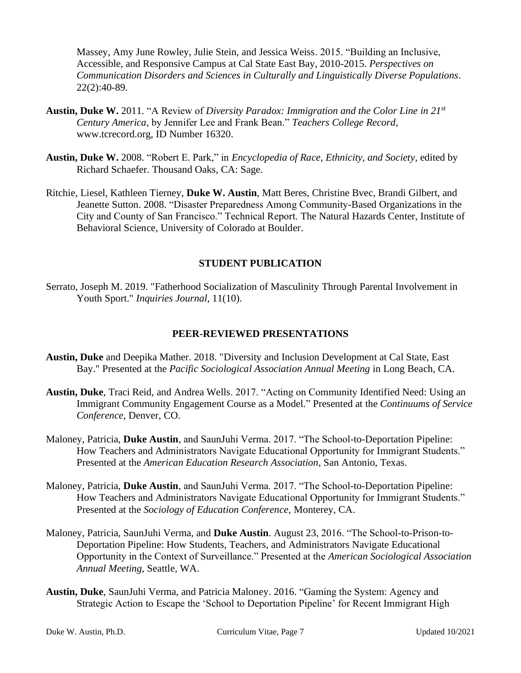Massey, Amy June Rowley, Julie Stein, and Jessica Weiss. 2015. "Building an Inclusive, Accessible, and Responsive Campus at Cal State East Bay, 2010-2015. *Perspectives on Communication Disorders and Sciences in Culturally and Linguistically Diverse Populations*. 22(2):40-89.

- **Austin, Duke W.** 2011. "A Review of *Diversity Paradox: Immigration and the Color Line in 21st Century America*, by Jennifer Lee and Frank Bean." *Teachers College Record*, www.tcrecord.org, ID Number 16320.
- **Austin, Duke W.** 2008. "Robert E. Park," in *Encyclopedia of Race, Ethnicity, and Society*, edited by Richard Schaefer. Thousand Oaks, CA: Sage.
- Ritchie, Liesel, Kathleen Tierney, **Duke W. Austin**, Matt Beres, Christine Bvec, Brandi Gilbert, and Jeanette Sutton. 2008. "Disaster Preparedness Among Community-Based Organizations in the City and County of San Francisco." Technical Report. The Natural Hazards Center, Institute of Behavioral Science, University of Colorado at Boulder.

### **STUDENT PUBLICATION**

Serrato, Joseph M. 2019. "Fatherhood Socialization of Masculinity Through Parental Involvement in Youth Sport." *Inquiries Journal*, 11(10).

#### **PEER-REVIEWED PRESENTATIONS**

- **Austin, Duke** and Deepika Mather. 2018. "Diversity and Inclusion Development at Cal State, East Bay." Presented at the *Pacific Sociological Association Annual Meeting* in Long Beach, CA.
- **Austin, Duke**, Traci Reid, and Andrea Wells. 2017. "Acting on Community Identified Need: Using an Immigrant Community Engagement Course as a Model." Presented at the *Continuums of Service Conference*, Denver, CO.
- Maloney, Patricia, **Duke Austin**, and SaunJuhi Verma. 2017. "The School-to-Deportation Pipeline: How Teachers and Administrators Navigate Educational Opportunity for Immigrant Students." Presented at the *American Education Research Association*, San Antonio, Texas.
- Maloney, Patricia, **Duke Austin**, and SaunJuhi Verma. 2017. "The School-to-Deportation Pipeline: How Teachers and Administrators Navigate Educational Opportunity for Immigrant Students." Presented at the *Sociology of Education Conference*, Monterey, CA.
- Maloney, Patricia, SaunJuhi Verma, and **Duke Austin**. August 23, 2016. "The School-to-Prison-to-Deportation Pipeline: How Students, Teachers, and Administrators Navigate Educational Opportunity in the Context of Surveillance." Presented at the *American Sociological Association Annual Meeting*, Seattle, WA.
- **Austin, Duke**, SaunJuhi Verma, and Patricia Maloney. 2016. "Gaming the System: Agency and Strategic Action to Escape the 'School to Deportation Pipeline' for Recent Immigrant High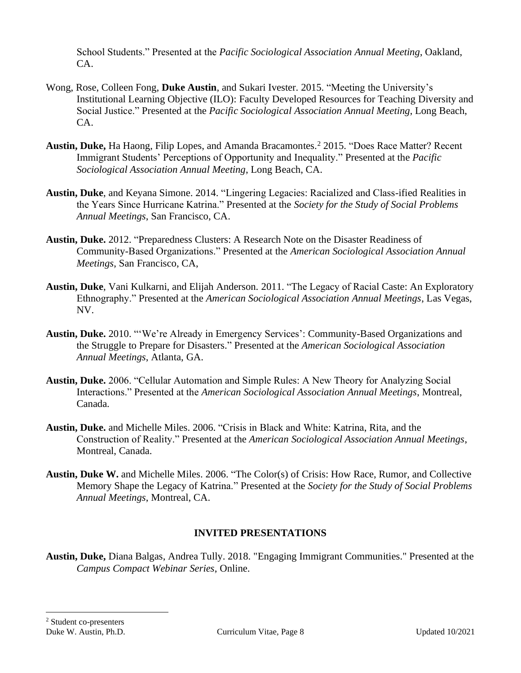School Students." Presented at the *Pacific Sociological Association Annual Meeting*, Oakland, CA.

- Wong, Rose, Colleen Fong, **Duke Austin**, and Sukari Ivester. 2015. "Meeting the University's Institutional Learning Objective (ILO): Faculty Developed Resources for Teaching Diversity and Social Justice." Presented at the *Pacific Sociological Association Annual Meeting*, Long Beach, CA.
- Austin, Duke, Ha Haong, Filip Lopes, and Amanda Bracamontes.<sup>2</sup> 2015. "Does Race Matter? Recent Immigrant Students' Perceptions of Opportunity and Inequality." Presented at the *Pacific Sociological Association Annual Meeting*, Long Beach, CA.
- **Austin, Duke**, and Keyana Simone. 2014. "Lingering Legacies: Racialized and Class-ified Realities in the Years Since Hurricane Katrina." Presented at the *Society for the Study of Social Problems Annual Meetings*, San Francisco, CA.
- **Austin, Duke.** 2012. "Preparedness Clusters: A Research Note on the Disaster Readiness of Community-Based Organizations." Presented at the *American Sociological Association Annual Meetings*, San Francisco, CA,
- **Austin, Duke**, Vani Kulkarni, and Elijah Anderson. 2011. "The Legacy of Racial Caste: An Exploratory Ethnography." Presented at the *American Sociological Association Annual Meetings*, Las Vegas, NV.
- **Austin, Duke.** 2010. "'We're Already in Emergency Services': Community-Based Organizations and the Struggle to Prepare for Disasters." Presented at the *American Sociological Association Annual Meetings*, Atlanta, GA.
- **Austin, Duke.** 2006. "Cellular Automation and Simple Rules: A New Theory for Analyzing Social Interactions." Presented at the *American Sociological Association Annual Meetings*, Montreal, Canada.
- **Austin, Duke.** and Michelle Miles. 2006. "Crisis in Black and White: Katrina, Rita, and the Construction of Reality." Presented at the *American Sociological Association Annual Meetings*, Montreal, Canada.
- **Austin, Duke W.** and Michelle Miles. 2006. "The Color(s) of Crisis: How Race, Rumor, and Collective Memory Shape the Legacy of Katrina." Presented at the *Society for the Study of Social Problems Annual Meetings*, Montreal, CA.

## **INVITED PRESENTATIONS**

**Austin, Duke,** Diana Balgas, Andrea Tully. 2018. "Engaging Immigrant Communities." Presented at the *Campus Compact Webinar Series*, Online.

<sup>2</sup> Student co-presenters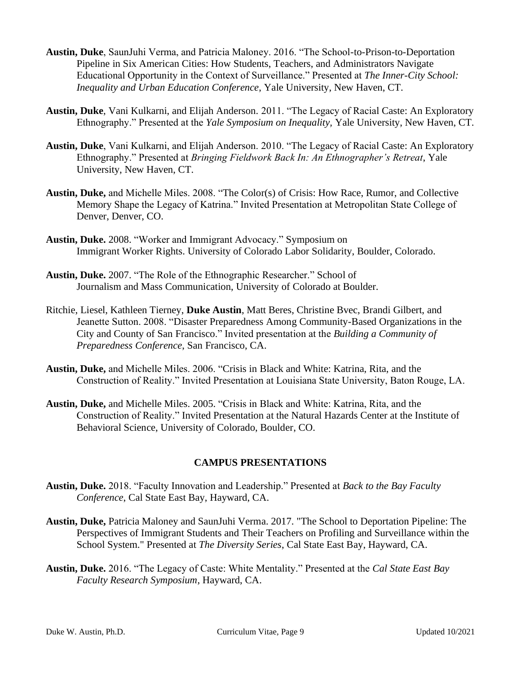- **Austin, Duke**, SaunJuhi Verma, and Patricia Maloney. 2016. "The School-to-Prison-to-Deportation Pipeline in Six American Cities: How Students, Teachers, and Administrators Navigate Educational Opportunity in the Context of Surveillance." Presented at *The Inner-City School: Inequality and Urban Education Conference*, Yale University, New Haven, CT.
- **Austin, Duke**, Vani Kulkarni, and Elijah Anderson. 2011. "The Legacy of Racial Caste: An Exploratory Ethnography." Presented at the *Yale Symposium on Inequality,* Yale University, New Haven, CT.
- **Austin, Duke**, Vani Kulkarni, and Elijah Anderson. 2010. "The Legacy of Racial Caste: An Exploratory Ethnography." Presented at *Bringing Fieldwork Back In: An Ethnographer's Retreat*, Yale University, New Haven, CT.
- **Austin, Duke,** and Michelle Miles. 2008. "The Color(s) of Crisis: How Race, Rumor, and Collective Memory Shape the Legacy of Katrina." Invited Presentation at Metropolitan State College of Denver, Denver, CO.
- **Austin, Duke.** 2008. "Worker and Immigrant Advocacy." Symposium on Immigrant Worker Rights. University of Colorado Labor Solidarity, Boulder, Colorado.
- **Austin, Duke.** 2007. "The Role of the Ethnographic Researcher." School of Journalism and Mass Communication, University of Colorado at Boulder.
- Ritchie, Liesel, Kathleen Tierney, **Duke Austin**, Matt Beres, Christine Bvec, Brandi Gilbert, and Jeanette Sutton. 2008. "Disaster Preparedness Among Community-Based Organizations in the City and County of San Francisco." Invited presentation at the *Building a Community of Preparedness Conference*, San Francisco, CA.
- **Austin, Duke,** and Michelle Miles. 2006. "Crisis in Black and White: Katrina, Rita, and the Construction of Reality." Invited Presentation at Louisiana State University, Baton Rouge, LA.
- **Austin, Duke,** and Michelle Miles. 2005. "Crisis in Black and White: Katrina, Rita, and the Construction of Reality." Invited Presentation at the Natural Hazards Center at the Institute of Behavioral Science, University of Colorado, Boulder, CO.

## **CAMPUS PRESENTATIONS**

- **Austin, Duke.** 2018. "Faculty Innovation and Leadership." Presented at *Back to the Bay Faculty Conference*, Cal State East Bay, Hayward, CA.
- **Austin, Duke,** Patricia Maloney and SaunJuhi Verma. 2017. "The School to Deportation Pipeline: The Perspectives of Immigrant Students and Their Teachers on Profiling and Surveillance within the School System." Presented at *The Diversity Series*, Cal State East Bay, Hayward, CA.
- **Austin, Duke.** 2016. "The Legacy of Caste: White Mentality." Presented at the *Cal State East Bay Faculty Research Symposium*, Hayward, CA.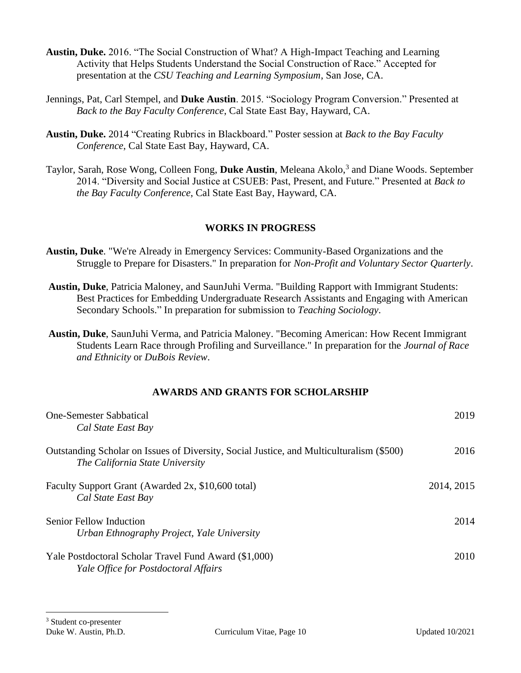- **Austin, Duke.** 2016. "The Social Construction of What? A High-Impact Teaching and Learning Activity that Helps Students Understand the Social Construction of Race." Accepted for presentation at the *CSU Teaching and Learning Symposium*, San Jose, CA.
- Jennings, Pat, Carl Stempel, and **Duke Austin**. 2015. "Sociology Program Conversion." Presented at *Back to the Bay Faculty Conference*, Cal State East Bay, Hayward, CA.
- **Austin, Duke.** 2014 "Creating Rubrics in Blackboard." Poster session at *Back to the Bay Faculty Conference*, Cal State East Bay, Hayward, CA.
- Taylor, Sarah, Rose Wong, Colleen Fong, **Duke Austin**, Meleana Akolo, 3 and Diane Woods. September 2014. "Diversity and Social Justice at CSUEB: Past, Present, and Future." Presented at *Back to the Bay Faculty Conference*, Cal State East Bay, Hayward, CA.

## **WORKS IN PROGRESS**

- **Austin, Duke**. "We're Already in Emergency Services: Community-Based Organizations and the Struggle to Prepare for Disasters." In preparation for *Non-Profit and Voluntary Sector Quarterly*.
- **Austin, Duke**, Patricia Maloney, and SaunJuhi Verma. "Building Rapport with Immigrant Students: Best Practices for Embedding Undergraduate Research Assistants and Engaging with American Secondary Schools." In preparation for submission to *Teaching Sociology*.
- **Austin, Duke**, SaunJuhi Verma, and Patricia Maloney. "Becoming American: How Recent Immigrant Students Learn Race through Profiling and Surveillance." In preparation for the *Journal of Race and Ethnicity* or *DuBois Review*.

## **AWARDS AND GRANTS FOR SCHOLARSHIP**

| <b>One-Semester Sabbatical</b><br>Cal State East Bay                                                                        | 2019       |
|-----------------------------------------------------------------------------------------------------------------------------|------------|
| Outstanding Scholar on Issues of Diversity, Social Justice, and Multiculturalism (\$500)<br>The California State University | 2016       |
| Faculty Support Grant (Awarded 2x, \$10,600 total)<br>Cal State East Bay                                                    | 2014, 2015 |
| Senior Fellow Induction<br>Urban Ethnography Project, Yale University                                                       | 2014       |
| Yale Postdoctoral Scholar Travel Fund Award (\$1,000)<br>Yale Office for Postdoctoral Affairs                               | 2010       |

<sup>3</sup> Student co-presenter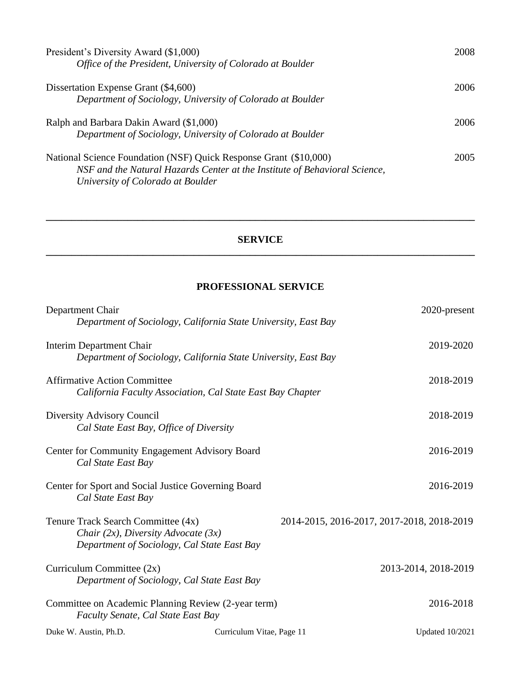| President's Diversity Award (\$1,000)<br>Office of the President, University of Colorado at Boulder                                                                                  | 2008 |
|--------------------------------------------------------------------------------------------------------------------------------------------------------------------------------------|------|
| Dissertation Expense Grant (\$4,600)<br>Department of Sociology, University of Colorado at Boulder                                                                                   | 2006 |
| Ralph and Barbara Dakin Award (\$1,000)<br>Department of Sociology, University of Colorado at Boulder                                                                                | 2006 |
| National Science Foundation (NSF) Quick Response Grant (\$10,000)<br>NSF and the Natural Hazards Center at the Institute of Behavioral Science,<br>University of Colorado at Boulder | 2005 |

## **SERVICE \_\_\_\_\_\_\_\_\_\_\_\_\_\_\_\_\_\_\_\_\_\_\_\_\_\_\_\_\_\_\_\_\_\_\_\_\_\_\_\_\_\_\_\_\_\_\_\_\_\_\_\_\_\_\_\_\_\_\_\_\_\_\_\_\_\_\_\_\_\_\_\_\_\_\_\_\_\_\_\_\_\_\_\_**

**\_\_\_\_\_\_\_\_\_\_\_\_\_\_\_\_\_\_\_\_\_\_\_\_\_\_\_\_\_\_\_\_\_\_\_\_\_\_\_\_\_\_\_\_\_\_\_\_\_\_\_\_\_\_\_\_\_\_\_\_\_\_\_\_\_\_\_\_\_\_\_\_\_\_\_\_\_\_\_\_\_\_\_\_**

# **PROFESSIONAL SERVICE**

| Department Chair                                               |                           | 2020-present                               |
|----------------------------------------------------------------|---------------------------|--------------------------------------------|
| Department of Sociology, California State University, East Bay |                           |                                            |
| Interim Department Chair                                       |                           | 2019-2020                                  |
| Department of Sociology, California State University, East Bay |                           |                                            |
| <b>Affirmative Action Committee</b>                            |                           | 2018-2019                                  |
| California Faculty Association, Cal State East Bay Chapter     |                           |                                            |
| Diversity Advisory Council                                     |                           | 2018-2019                                  |
| Cal State East Bay, Office of Diversity                        |                           |                                            |
| Center for Community Engagement Advisory Board                 |                           | 2016-2019                                  |
| Cal State East Bay                                             |                           |                                            |
| Center for Sport and Social Justice Governing Board            |                           | 2016-2019                                  |
| Cal State East Bay                                             |                           |                                            |
| Tenure Track Search Committee (4x)                             |                           | 2014-2015, 2016-2017, 2017-2018, 2018-2019 |
| Chair $(2x)$ , Diversity Advocate $(3x)$                       |                           |                                            |
| Department of Sociology, Cal State East Bay                    |                           |                                            |
| Curriculum Committee (2x)                                      |                           | 2013-2014, 2018-2019                       |
| Department of Sociology, Cal State East Bay                    |                           |                                            |
| Committee on Academic Planning Review (2-year term)            |                           | 2016-2018                                  |
| Faculty Senate, Cal State East Bay                             |                           |                                            |
| Duke W. Austin, Ph.D.                                          | Curriculum Vitae, Page 11 | <b>Updated 10/2021</b>                     |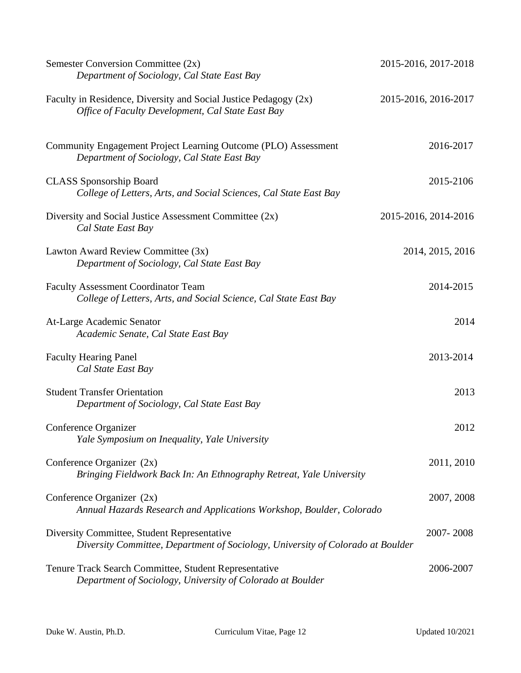| Semester Conversion Committee (2x)<br>Department of Sociology, Cal State East Bay                                              | 2015-2016, 2017-2018 |
|--------------------------------------------------------------------------------------------------------------------------------|----------------------|
| Faculty in Residence, Diversity and Social Justice Pedagogy (2x)<br>Office of Faculty Development, Cal State East Bay          | 2015-2016, 2016-2017 |
| Community Engagement Project Learning Outcome (PLO) Assessment<br>Department of Sociology, Cal State East Bay                  | 2016-2017            |
| <b>CLASS</b> Sponsorship Board<br>College of Letters, Arts, and Social Sciences, Cal State East Bay                            | 2015-2106            |
| Diversity and Social Justice Assessment Committee (2x)<br>Cal State East Bay                                                   | 2015-2016, 2014-2016 |
| Lawton Award Review Committee (3x)<br>Department of Sociology, Cal State East Bay                                              | 2014, 2015, 2016     |
| <b>Faculty Assessment Coordinator Team</b><br>College of Letters, Arts, and Social Science, Cal State East Bay                 | 2014-2015            |
| At-Large Academic Senator<br>Academic Senate, Cal State East Bay                                                               | 2014                 |
| <b>Faculty Hearing Panel</b><br>Cal State East Bay                                                                             | 2013-2014            |
| <b>Student Transfer Orientation</b><br>Department of Sociology, Cal State East Bay                                             | 2013                 |
| Conference Organizer<br>Yale Symposium on Inequality, Yale University                                                          | 2012                 |
| Conference Organizer $(2x)$<br>Bringing Fieldwork Back In: An Ethnography Retreat, Yale University                             | 2011, 2010           |
| Conference Organizer $(2x)$<br>Annual Hazards Research and Applications Workshop, Boulder, Colorado                            | 2007, 2008           |
| Diversity Committee, Student Representative<br>Diversity Committee, Department of Sociology, University of Colorado at Boulder | 2007-2008            |
| Tenure Track Search Committee, Student Representative<br>Department of Sociology, University of Colorado at Boulder            | 2006-2007            |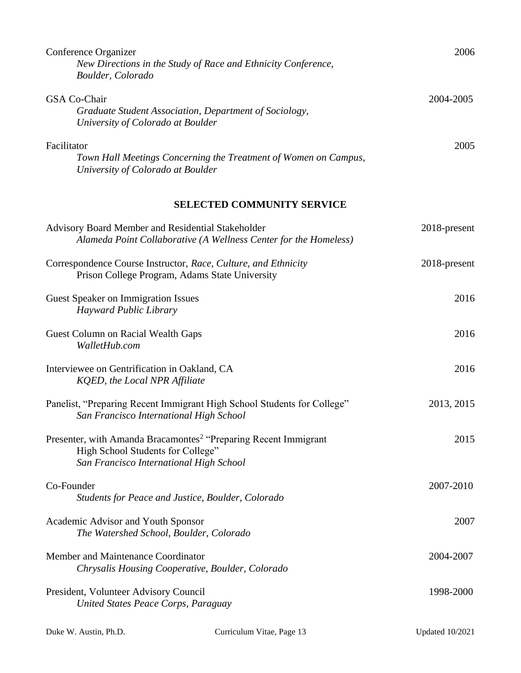| Conference Organizer<br>New Directions in the Study of Race and Ethnicity Conference,<br>Boulder, Colorado                                                  | 2006         |
|-------------------------------------------------------------------------------------------------------------------------------------------------------------|--------------|
| <b>GSA Co-Chair</b><br>Graduate Student Association, Department of Sociology,<br>University of Colorado at Boulder                                          | 2004-2005    |
| Facilitator<br>Town Hall Meetings Concerning the Treatment of Women on Campus,<br>University of Colorado at Boulder                                         | 2005         |
| <b>SELECTED COMMUNITY SERVICE</b>                                                                                                                           |              |
| Advisory Board Member and Residential Stakeholder<br>Alameda Point Collaborative (A Wellness Center for the Homeless)                                       | 2018-present |
| Correspondence Course Instructor, Race, Culture, and Ethnicity<br>Prison College Program, Adams State University                                            | 2018-present |
| <b>Guest Speaker on Immigration Issues</b><br><b>Hayward Public Library</b>                                                                                 | 2016         |
| Guest Column on Racial Wealth Gaps<br>WalletHub.com                                                                                                         | 2016         |
| Interviewee on Gentrification in Oakland, CA<br>KQED, the Local NPR Affiliate                                                                               | 2016         |
| Panelist, "Preparing Recent Immigrant High School Students for College"<br>San Francisco International High School                                          | 2013, 2015   |
| Presenter, with Amanda Bracamontes <sup>2</sup> "Preparing Recent Immigrant<br>High School Students for College"<br>San Francisco International High School | 2015         |
| Co-Founder<br>Students for Peace and Justice, Boulder, Colorado                                                                                             | 2007-2010    |
| Academic Advisor and Youth Sponsor<br>The Watershed School, Boulder, Colorado                                                                               | 2007         |
| Member and Maintenance Coordinator<br>Chrysalis Housing Cooperative, Boulder, Colorado                                                                      | 2004-2007    |
| President, Volunteer Advisory Council<br>United States Peace Corps, Paraguay                                                                                | 1998-2000    |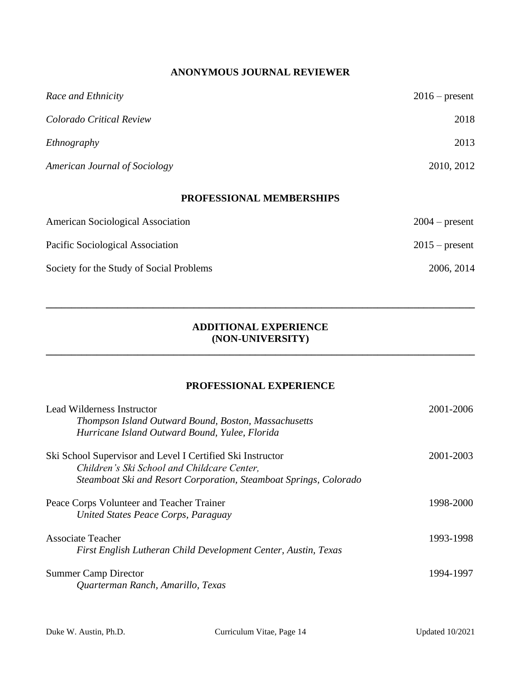# **ANONYMOUS JOURNAL REVIEWER**

| Race and Ethnicity                   | $2016$ – present |
|--------------------------------------|------------------|
| Colorado Critical Review             | 2018             |
| Ethnography                          | 2013             |
| <b>American Journal of Sociology</b> | 2010, 2012       |
|                                      |                  |

# **PROFESSIONAL MEMBERSHIPS**

| <b>American Sociological Association</b> | $2004$ – present |
|------------------------------------------|------------------|
| Pacific Sociological Association         | $2015$ – present |
| Society for the Study of Social Problems | 2006, 2014       |

### **ADDITIONAL EXPERIENCE (NON-UNIVERSITY)**

**\_\_\_\_\_\_\_\_\_\_\_\_\_\_\_\_\_\_\_\_\_\_\_\_\_\_\_\_\_\_\_\_\_\_\_\_\_\_\_\_\_\_\_\_\_\_\_\_\_\_\_\_\_\_\_\_\_\_\_\_\_\_\_\_\_\_\_\_\_\_\_\_\_\_\_\_\_\_\_\_\_\_\_\_**

**\_\_\_\_\_\_\_\_\_\_\_\_\_\_\_\_\_\_\_\_\_\_\_\_\_\_\_\_\_\_\_\_\_\_\_\_\_\_\_\_\_\_\_\_\_\_\_\_\_\_\_\_\_\_\_\_\_\_\_\_\_\_\_\_\_\_\_\_\_\_\_\_\_\_\_\_\_\_\_\_\_\_\_\_**

# **PROFESSIONAL EXPERIENCE**

| Lead Wilderness Instructor<br>Thompson Island Outward Bound, Boston, Massachusetts<br>Hurricane Island Outward Bound, Yulee, Florida                                           | 2001-2006 |
|--------------------------------------------------------------------------------------------------------------------------------------------------------------------------------|-----------|
| Ski School Supervisor and Level I Certified Ski Instructor<br>Children's Ski School and Childcare Center,<br>Steamboat Ski and Resort Corporation, Steamboat Springs, Colorado | 2001-2003 |
| Peace Corps Volunteer and Teacher Trainer<br>United States Peace Corps, Paraguay                                                                                               | 1998-2000 |
| <b>Associate Teacher</b><br>First English Lutheran Child Development Center, Austin, Texas                                                                                     | 1993-1998 |
| <b>Summer Camp Director</b><br>Ouarterman Ranch, Amarillo, Texas                                                                                                               | 1994-1997 |